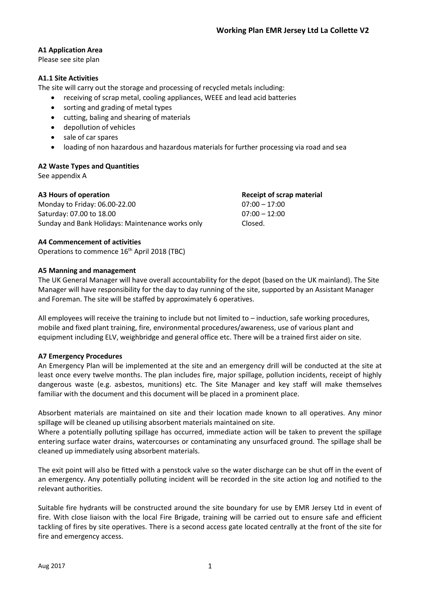# **A1 Application Area**

Please see site plan

## **A1.1 Site Activities**

The site will carry out the storage and processing of recycled metals including:

- receiving of scrap metal, cooling appliances, WEEE and lead acid batteries
- sorting and grading of metal types
- cutting, baling and shearing of materials
- depollution of vehicles
- sale of car spares
- loading of non hazardous and hazardous materials for further processing via road and sea

### **A2 Waste Types and Quantities**

See appendix A

| A3 Hours of operation                            | <b>Receipt of scrap material</b> |
|--------------------------------------------------|----------------------------------|
| Monday to Friday: 06.00-22.00                    | $07:00 - 17:00$                  |
| Saturday: 07.00 to 18.00                         | $07:00 - 12:00$                  |
| Sunday and Bank Holidays: Maintenance works only | Closed.                          |

## **A4 Commencement of activities**

Operations to commence 16<sup>th</sup> April 2018 (TBC)

## **A5 Manning and management**

The UK General Manager will have overall accountability for the depot (based on the UK mainland). The Site Manager will have responsibility for the day to day running of the site, supported by an Assistant Manager and Foreman. The site will be staffed by approximately 6 operatives.

All employees will receive the training to include but not limited to – induction, safe working procedures, mobile and fixed plant training, fire, environmental procedures/awareness, use of various plant and equipment including ELV, weighbridge and general office etc. There will be a trained first aider on site.

## **A7 Emergency Procedures**

An Emergency Plan will be implemented at the site and an emergency drill will be conducted at the site at least once every twelve months. The plan includes fire, major spillage, pollution incidents, receipt of highly dangerous waste (e.g. asbestos, munitions) etc. The Site Manager and key staff will make themselves familiar with the document and this document will be placed in a prominent place.

Absorbent materials are maintained on site and their location made known to all operatives. Any minor spillage will be cleaned up utilising absorbent materials maintained on site.

Where a potentially polluting spillage has occurred, immediate action will be taken to prevent the spillage entering surface water drains, watercourses or contaminating any unsurfaced ground. The spillage shall be cleaned up immediately using absorbent materials.

The exit point will also be fitted with a penstock valve so the water discharge can be shut off in the event of an emergency. Any potentially polluting incident will be recorded in the site action log and notified to the relevant authorities.

Suitable fire hydrants will be constructed around the site boundary for use by EMR Jersey Ltd in event of fire. With close liaison with the local Fire Brigade, training will be carried out to ensure safe and efficient tackling of fires by site operatives. There is a second access gate located centrally at the front of the site for fire and emergency access.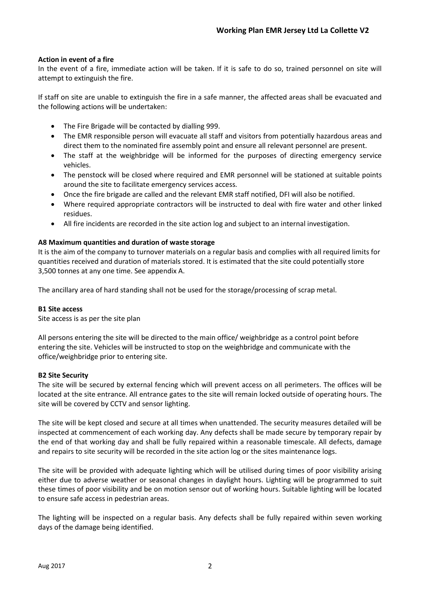## **Action in event of a fire**

In the event of a fire, immediate action will be taken. If it is safe to do so, trained personnel on site will attempt to extinguish the fire.

If staff on site are unable to extinguish the fire in a safe manner, the affected areas shall be evacuated and the following actions will be undertaken:

- The Fire Brigade will be contacted by dialling 999.
- The EMR responsible person will evacuate all staff and visitors from potentially hazardous areas and direct them to the nominated fire assembly point and ensure all relevant personnel are present.
- The staff at the weighbridge will be informed for the purposes of directing emergency service vehicles.
- The penstock will be closed where required and EMR personnel will be stationed at suitable points around the site to facilitate emergency services access.
- Once the fire brigade are called and the relevant EMR staff notified, DFI will also be notified.
- Where required appropriate contractors will be instructed to deal with fire water and other linked residues.
- All fire incidents are recorded in the site action log and subject to an internal investigation.

### **A8 Maximum quantities and duration of waste storage**

It is the aim of the company to turnover materials on a regular basis and complies with all required limits for quantities received and duration of materials stored. It is estimated that the site could potentially store 3,500 tonnes at any one time. See appendix A.

The ancillary area of hard standing shall not be used for the storage/processing of scrap metal.

### **B1 Site access**

Site access is as per the site plan

All persons entering the site will be directed to the main office/ weighbridge as a control point before entering the site. Vehicles will be instructed to stop on the weighbridge and communicate with the office/weighbridge prior to entering site.

### **B2 Site Security**

The site will be secured by external fencing which will prevent access on all perimeters. The offices will be located at the site entrance. All entrance gates to the site will remain locked outside of operating hours. The site will be covered by CCTV and sensor lighting.

The site will be kept closed and secure at all times when unattended. The security measures detailed will be inspected at commencement of each working day. Any defects shall be made secure by temporary repair by the end of that working day and shall be fully repaired within a reasonable timescale. All defects, damage and repairs to site security will be recorded in the site action log or the sites maintenance logs.

The site will be provided with adequate lighting which will be utilised during times of poor visibility arising either due to adverse weather or seasonal changes in daylight hours. Lighting will be programmed to suit these times of poor visibility and be on motion sensor out of working hours. Suitable lighting will be located to ensure safe access in pedestrian areas.

The lighting will be inspected on a regular basis. Any defects shall be fully repaired within seven working days of the damage being identified.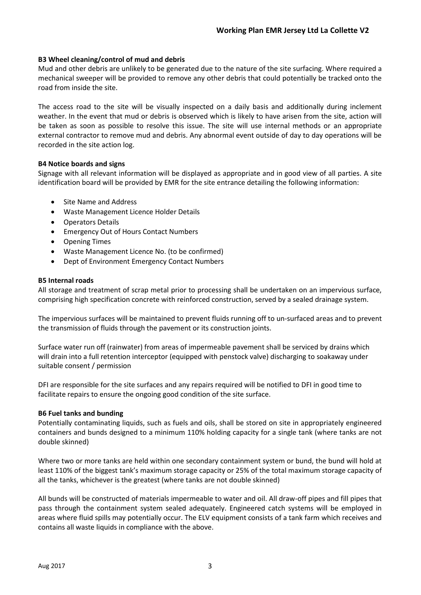## **B3 Wheel cleaning/control of mud and debris**

Mud and other debris are unlikely to be generated due to the nature of the site surfacing. Where required a mechanical sweeper will be provided to remove any other debris that could potentially be tracked onto the road from inside the site.

The access road to the site will be visually inspected on a daily basis and additionally during inclement weather. In the event that mud or debris is observed which is likely to have arisen from the site, action will be taken as soon as possible to resolve this issue. The site will use internal methods or an appropriate external contractor to remove mud and debris. Any abnormal event outside of day to day operations will be recorded in the site action log.

## **B4 Notice boards and signs**

Signage with all relevant information will be displayed as appropriate and in good view of all parties. A site identification board will be provided by EMR for the site entrance detailing the following information:

- Site Name and Address
- Waste Management Licence Holder Details
- Operators Details
- Emergency Out of Hours Contact Numbers
- Opening Times
- Waste Management Licence No. (to be confirmed)
- Dept of Environment Emergency Contact Numbers

### **B5 Internal roads**

All storage and treatment of scrap metal prior to processing shall be undertaken on an impervious surface, comprising high specification concrete with reinforced construction, served by a sealed drainage system.

The impervious surfaces will be maintained to prevent fluids running off to un-surfaced areas and to prevent the transmission of fluids through the pavement or its construction joints.

Surface water run off (rainwater) from areas of impermeable pavement shall be serviced by drains which will drain into a full retention interceptor (equipped with penstock valve) discharging to soakaway under suitable consent / permission

DFI are responsible for the site surfaces and any repairs required will be notified to DFI in good time to facilitate repairs to ensure the ongoing good condition of the site surface.

### **B6 Fuel tanks and bunding**

Potentially contaminating liquids, such as fuels and oils, shall be stored on site in appropriately engineered containers and bunds designed to a minimum 110% holding capacity for a single tank (where tanks are not double skinned)

Where two or more tanks are held within one secondary containment system or bund, the bund will hold at least 110% of the biggest tank's maximum storage capacity or 25% of the total maximum storage capacity of all the tanks, whichever is the greatest (where tanks are not double skinned)

All bunds will be constructed of materials impermeable to water and oil. All draw-off pipes and fill pipes that pass through the containment system sealed adequately. Engineered catch systems will be employed in areas where fluid spills may potentially occur. The ELV equipment consists of a tank farm which receives and contains all waste liquids in compliance with the above.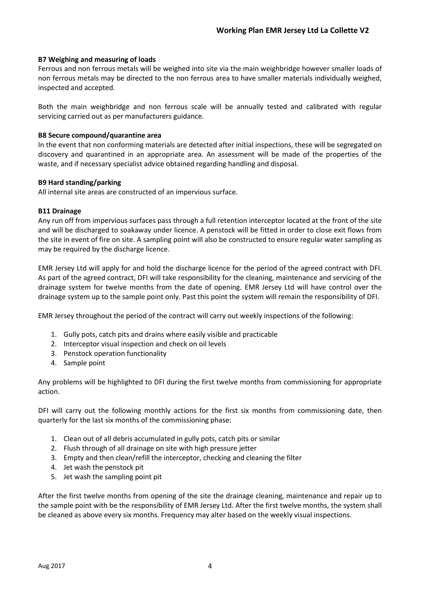## **B7 Weighing and measuring of loads**

Ferrous and non ferrous metals will be weighed into site via the main weighbridge however smaller loads of non ferrous metals may be directed to the non ferrous area to have smaller materials individually weighed, inspected and accepted.

Both the main weighbridge and non ferrous scale will be annually tested and calibrated with regular servicing carried out as per manufacturers guidance.

### **B8 Secure compound/quarantine area**

In the event that non conforming materials are detected after initial inspections, these will be segregated on discovery and quarantined in an appropriate area. An assessment will be made of the properties of the waste, and if necessary specialist advice obtained regarding handling and disposal.

## **B9 Hard standing/parking**

All internal site areas are constructed of an impervious surface.

## **B11 Drainage**

Any run off from impervious surfaces pass through a full retention interceptor located at the front of the site and will be discharged to soakaway under licence. A penstock will be fitted in order to close exit flows from the site in event of fire on site. A sampling point will also be constructed to ensure regular water sampling as may be required by the discharge licence.

EMR Jersey Ltd will apply for and hold the discharge licence for the period of the agreed contract with DFI. As part of the agreed contract, DFI will take responsibility for the cleaning, maintenance and servicing of the drainage system for twelve months from the date of opening. EMR Jersey Ltd will have control over the drainage system up to the sample point only. Past this point the system will remain the responsibility of DFI.

EMR Jersey throughout the period of the contract will carry out weekly inspections of the following:

- 1. Gully pots, catch pits and drains where easily visible and practicable
- 2. Interceptor visual inspection and check on oil levels
- 3. Penstock operation functionality
- 4. Sample point

Any problems will be highlighted to DFI during the first twelve months from commissioning for appropriate action.

DFI will carry out the following monthly actions for the first six months from commissioning date, then quarterly for the last six months of the commissioning phase:

- 1. Clean out of all debris accumulated in gully pots, catch pits or similar
- 2. Flush through of all drainage on site with high pressure jetter
- 3. Empty and then clean/refill the interceptor, checking and cleaning the filter
- 4. Jet wash the penstock pit
- 5. Jet wash the sampling point pit

After the first twelve months from opening of the site the drainage cleaning, maintenance and repair up to the sample point with be the responsibility of EMR Jersey Ltd. After the first twelve months, the system shall be cleaned as above every six months. Frequency may alter based on the weekly visual inspections.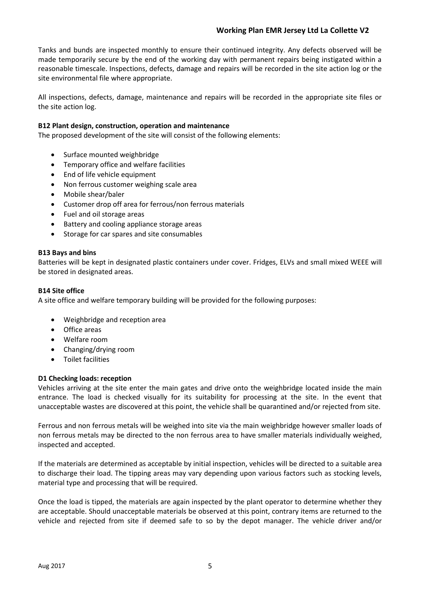Tanks and bunds are inspected monthly to ensure their continued integrity. Any defects observed will be made temporarily secure by the end of the working day with permanent repairs being instigated within a reasonable timescale. Inspections, defects, damage and repairs will be recorded in the site action log or the site environmental file where appropriate.

All inspections, defects, damage, maintenance and repairs will be recorded in the appropriate site files or the site action log.

## **B12 Plant design, construction, operation and maintenance**

The proposed development of the site will consist of the following elements:

- Surface mounted weighbridge
- Temporary office and welfare facilities
- End of life vehicle equipment
- Non ferrous customer weighing scale area
- Mobile shear/baler
- Customer drop off area for ferrous/non ferrous materials
- Fuel and oil storage areas
- Battery and cooling appliance storage areas
- Storage for car spares and site consumables

### **B13 Bays and bins**

Batteries will be kept in designated plastic containers under cover. Fridges, ELVs and small mixed WEEE will be stored in designated areas.

## **B14 Site office**

A site office and welfare temporary building will be provided for the following purposes:

- Weighbridge and reception area
- Office areas
- Welfare room
- Changing/drying room
- Toilet facilities

### **D1 Checking loads: reception**

Vehicles arriving at the site enter the main gates and drive onto the weighbridge located inside the main entrance. The load is checked visually for its suitability for processing at the site. In the event that unacceptable wastes are discovered at this point, the vehicle shall be quarantined and/or rejected from site.

Ferrous and non ferrous metals will be weighed into site via the main weighbridge however smaller loads of non ferrous metals may be directed to the non ferrous area to have smaller materials individually weighed, inspected and accepted.

If the materials are determined as acceptable by initial inspection, vehicles will be directed to a suitable area to discharge their load. The tipping areas may vary depending upon various factors such as stocking levels, material type and processing that will be required.

Once the load is tipped, the materials are again inspected by the plant operator to determine whether they are acceptable. Should unacceptable materials be observed at this point, contrary items are returned to the vehicle and rejected from site if deemed safe to so by the depot manager. The vehicle driver and/or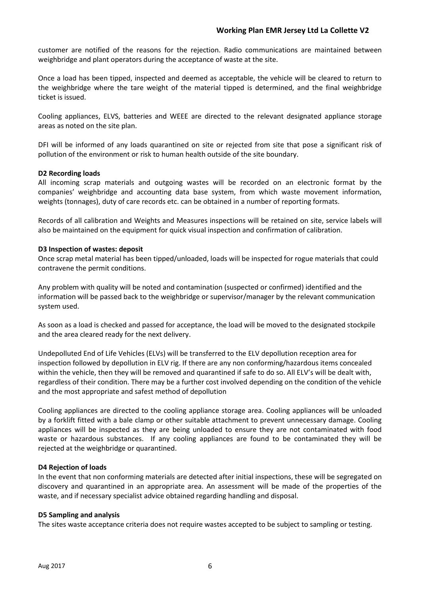customer are notified of the reasons for the rejection. Radio communications are maintained between weighbridge and plant operators during the acceptance of waste at the site.

Once a load has been tipped, inspected and deemed as acceptable, the vehicle will be cleared to return to the weighbridge where the tare weight of the material tipped is determined, and the final weighbridge ticket is issued.

Cooling appliances, ELVS, batteries and WEEE are directed to the relevant designated appliance storage areas as noted on the site plan.

DFI will be informed of any loads quarantined on site or rejected from site that pose a significant risk of pollution of the environment or risk to human health outside of the site boundary.

### **D2 Recording loads**

All incoming scrap materials and outgoing wastes will be recorded on an electronic format by the companies' weighbridge and accounting data base system, from which waste movement information, weights (tonnages), duty of care records etc. can be obtained in a number of reporting formats.

Records of all calibration and Weights and Measures inspections will be retained on site, service labels will also be maintained on the equipment for quick visual inspection and confirmation of calibration.

#### **D3 Inspection of wastes: deposit**

Once scrap metal material has been tipped/unloaded, loads will be inspected for rogue materials that could contravene the permit conditions.

Any problem with quality will be noted and contamination (suspected or confirmed) identified and the information will be passed back to the weighbridge or supervisor/manager by the relevant communication system used.

As soon as a load is checked and passed for acceptance, the load will be moved to the designated stockpile and the area cleared ready for the next delivery.

Undepolluted End of Life Vehicles (ELVs) will be transferred to the ELV depollution reception area for inspection followed by depollution in ELV rig. If there are any non conforming/hazardous items concealed within the vehicle, then they will be removed and quarantined if safe to do so. All ELV's will be dealt with, regardless of their condition. There may be a further cost involved depending on the condition of the vehicle and the most appropriate and safest method of depollution

Cooling appliances are directed to the cooling appliance storage area. Cooling appliances will be unloaded by a forklift fitted with a bale clamp or other suitable attachment to prevent unnecessary damage. Cooling appliances will be inspected as they are being unloaded to ensure they are not contaminated with food waste or hazardous substances. If any cooling appliances are found to be contaminated they will be rejected at the weighbridge or quarantined.

### **D4 Rejection of loads**

In the event that non conforming materials are detected after initial inspections, these will be segregated on discovery and quarantined in an appropriate area. An assessment will be made of the properties of the waste, and if necessary specialist advice obtained regarding handling and disposal.

### **D5 Sampling and analysis**

The sites waste acceptance criteria does not require wastes accepted to be subject to sampling or testing.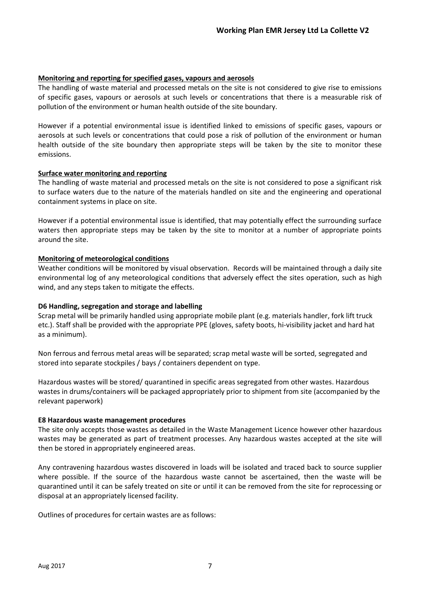## **Monitoring and reporting for specified gases, vapours and aerosols**

The handling of waste material and processed metals on the site is not considered to give rise to emissions of specific gases, vapours or aerosols at such levels or concentrations that there is a measurable risk of pollution of the environment or human health outside of the site boundary.

However if a potential environmental issue is identified linked to emissions of specific gases, vapours or aerosols at such levels or concentrations that could pose a risk of pollution of the environment or human health outside of the site boundary then appropriate steps will be taken by the site to monitor these emissions.

## **Surface water monitoring and reporting**

The handling of waste material and processed metals on the site is not considered to pose a significant risk to surface waters due to the nature of the materials handled on site and the engineering and operational containment systems in place on site.

However if a potential environmental issue is identified, that may potentially effect the surrounding surface waters then appropriate steps may be taken by the site to monitor at a number of appropriate points around the site.

## **Monitoring of meteorological conditions**

Weather conditions will be monitored by visual observation. Records will be maintained through a daily site environmental log of any meteorological conditions that adversely effect the sites operation, such as high wind, and any steps taken to mitigate the effects.

## **D6 Handling, segregation and storage and labelling**

Scrap metal will be primarily handled using appropriate mobile plant (e.g. materials handler, fork lift truck etc.). Staff shall be provided with the appropriate PPE (gloves, safety boots, hi-visibility jacket and hard hat as a minimum).

Non ferrous and ferrous metal areas will be separated; scrap metal waste will be sorted, segregated and stored into separate stockpiles / bays / containers dependent on type.

Hazardous wastes will be stored/ quarantined in specific areas segregated from other wastes. Hazardous wastes in drums/containers will be packaged appropriately prior to shipment from site (accompanied by the relevant paperwork)

### **E8 Hazardous waste management procedures**

The site only accepts those wastes as detailed in the Waste Management Licence however other hazardous wastes may be generated as part of treatment processes. Any hazardous wastes accepted at the site will then be stored in appropriately engineered areas.

Any contravening hazardous wastes discovered in loads will be isolated and traced back to source supplier where possible. If the source of the hazardous waste cannot be ascertained, then the waste will be quarantined until it can be safely treated on site or until it can be removed from the site for reprocessing or disposal at an appropriately licensed facility.

Outlines of procedures for certain wastes are as follows: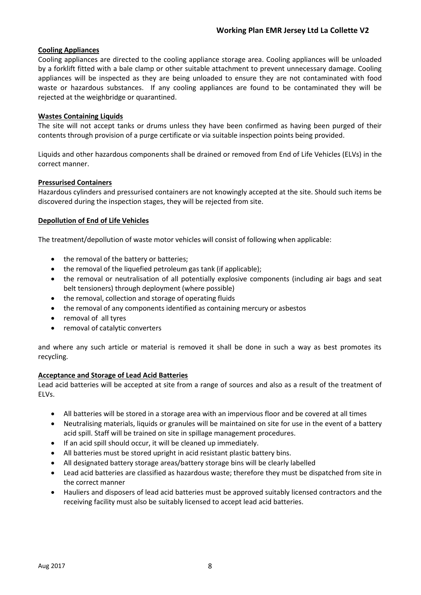## **Cooling Appliances**

Cooling appliances are directed to the cooling appliance storage area. Cooling appliances will be unloaded by a forklift fitted with a bale clamp or other suitable attachment to prevent unnecessary damage. Cooling appliances will be inspected as they are being unloaded to ensure they are not contaminated with food waste or hazardous substances. If any cooling appliances are found to be contaminated they will be rejected at the weighbridge or quarantined.

### **Wastes Containing Liquids**

The site will not accept tanks or drums unless they have been confirmed as having been purged of their contents through provision of a purge certificate or via suitable inspection points being provided.

Liquids and other hazardous components shall be drained or removed from End of Life Vehicles (ELVs) in the correct manner.

## **Pressurised Containers**

Hazardous cylinders and pressurised containers are not knowingly accepted at the site. Should such items be discovered during the inspection stages, they will be rejected from site.

## **Depollution of End of Life Vehicles**

The treatment/depollution of waste motor vehicles will consist of following when applicable:

- the removal of the battery or batteries;
- the removal of the liquefied petroleum gas tank (if applicable);
- the removal or neutralisation of all potentially explosive components (including air bags and seat belt tensioners) through deployment (where possible)
- the removal, collection and storage of operating fluids
- the removal of any components identified as containing mercury or asbestos
- removal of all tyres
- removal of catalytic converters

and where any such article or material is removed it shall be done in such a way as best promotes its recycling.

### **Acceptance and Storage of Lead Acid Batteries**

Lead acid batteries will be accepted at site from a range of sources and also as a result of the treatment of ELVs.

- All batteries will be stored in a storage area with an impervious floor and be covered at all times
- Neutralising materials, liquids or granules will be maintained on site for use in the event of a battery acid spill. Staff will be trained on site in spillage management procedures.
- If an acid spill should occur, it will be cleaned up immediately.
- All batteries must be stored upright in acid resistant plastic battery bins.
- All designated battery storage areas/battery storage bins will be clearly labelled
- Lead acid batteries are classified as hazardous waste; therefore they must be dispatched from site in the correct manner
- Hauliers and disposers of lead acid batteries must be approved suitably licensed contractors and the receiving facility must also be suitably licensed to accept lead acid batteries.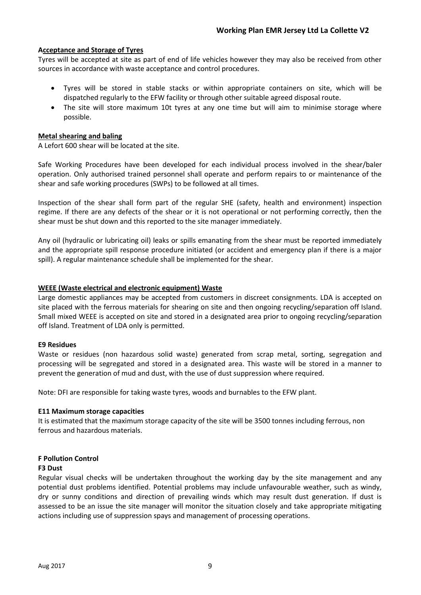## **Acceptance and Storage of Tyres**

Tyres will be accepted at site as part of end of life vehicles however they may also be received from other sources in accordance with waste acceptance and control procedures.

- Tyres will be stored in stable stacks or within appropriate containers on site, which will be dispatched regularly to the EFW facility or through other suitable agreed disposal route.
- The site will store maximum 10t tyres at any one time but will aim to minimise storage where possible.

### **Metal shearing and baling**

A Lefort 600 shear will be located at the site.

Safe Working Procedures have been developed for each individual process involved in the shear/baler operation. Only authorised trained personnel shall operate and perform repairs to or maintenance of the shear and safe working procedures (SWPs) to be followed at all times.

Inspection of the shear shall form part of the regular SHE (safety, health and environment) inspection regime. If there are any defects of the shear or it is not operational or not performing correctly, then the shear must be shut down and this reported to the site manager immediately.

Any oil (hydraulic or lubricating oil) leaks or spills emanating from the shear must be reported immediately and the appropriate spill response procedure initiated (or accident and emergency plan if there is a major spill). A regular maintenance schedule shall be implemented for the shear.

## **WEEE (Waste electrical and electronic equipment) Waste**

Large domestic appliances may be accepted from customers in discreet consignments. LDA is accepted on site placed with the ferrous materials for shearing on site and then ongoing recycling/separation off Island. Small mixed WEEE is accepted on site and stored in a designated area prior to ongoing recycling/separation off Island. Treatment of LDA only is permitted.

### **E9 Residues**

Waste or residues (non hazardous solid waste) generated from scrap metal, sorting, segregation and processing will be segregated and stored in a designated area. This waste will be stored in a manner to prevent the generation of mud and dust, with the use of dust suppression where required.

Note: DFI are responsible for taking waste tyres, woods and burnables to the EFW plant.

### **E11 Maximum storage capacities**

It is estimated that the maximum storage capacity of the site will be 3500 tonnes including ferrous, non ferrous and hazardous materials.

## **F Pollution Control**

### **F3 Dust**

Regular visual checks will be undertaken throughout the working day by the site management and any potential dust problems identified. Potential problems may include unfavourable weather, such as windy, dry or sunny conditions and direction of prevailing winds which may result dust generation. If dust is assessed to be an issue the site manager will monitor the situation closely and take appropriate mitigating actions including use of suppression spays and management of processing operations.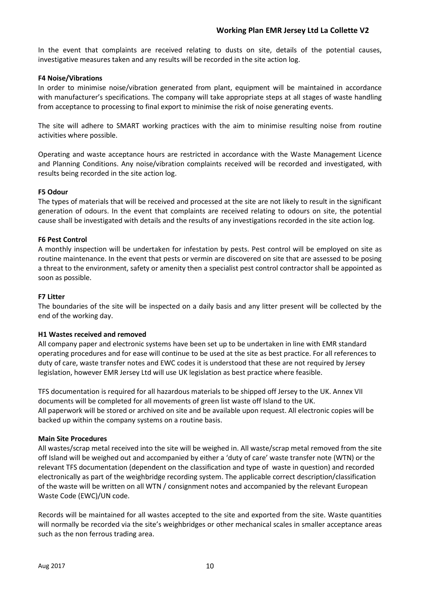In the event that complaints are received relating to dusts on site, details of the potential causes, investigative measures taken and any results will be recorded in the site action log.

### **F4 Noise/Vibrations**

In order to minimise noise/vibration generated from plant, equipment will be maintained in accordance with manufacturer's specifications. The company will take appropriate steps at all stages of waste handling from acceptance to processing to final export to minimise the risk of noise generating events.

The site will adhere to SMART working practices with the aim to minimise resulting noise from routine activities where possible.

Operating and waste acceptance hours are restricted in accordance with the Waste Management Licence and Planning Conditions. Any noise/vibration complaints received will be recorded and investigated, with results being recorded in the site action log.

## **F5 Odour**

The types of materials that will be received and processed at the site are not likely to result in the significant generation of odours. In the event that complaints are received relating to odours on site, the potential cause shall be investigated with details and the results of any investigations recorded in the site action log.

## **F6 Pest Control**

A monthly inspection will be undertaken for infestation by pests. Pest control will be employed on site as routine maintenance. In the event that pests or vermin are discovered on site that are assessed to be posing a threat to the environment, safety or amenity then a specialist pest control contractor shall be appointed as soon as possible.

### **F7 Litter**

The boundaries of the site will be inspected on a daily basis and any litter present will be collected by the end of the working day.

### **H1 Wastes received and removed**

All company paper and electronic systems have been set up to be undertaken in line with EMR standard operating procedures and for ease will continue to be used at the site as best practice. For all references to duty of care, waste transfer notes and EWC codes it is understood that these are not required by Jersey legislation, however EMR Jersey Ltd will use UK legislation as best practice where feasible.

TFS documentation is required for all hazardous materials to be shipped off Jersey to the UK. Annex VII documents will be completed for all movements of green list waste off Island to the UK. All paperwork will be stored or archived on site and be available upon request. All electronic copies will be backed up within the company systems on a routine basis.

### **Main Site Procedures**

All wastes/scrap metal received into the site will be weighed in. All waste/scrap metal removed from the site off Island will be weighed out and accompanied by either a 'duty of care' waste transfer note (WTN) or the relevant TFS documentation (dependent on the classification and type of waste in question) and recorded electronically as part of the weighbridge recording system. The applicable correct description/classification of the waste will be written on all WTN / consignment notes and accompanied by the relevant European Waste Code (EWC)/UN code.

Records will be maintained for all wastes accepted to the site and exported from the site. Waste quantities will normally be recorded via the site's weighbridges or other mechanical scales in smaller acceptance areas such as the non ferrous trading area.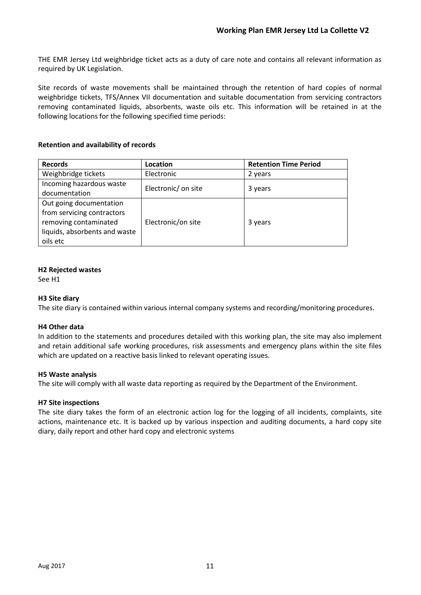THE EMR Jersey Ltd weighbridge ticket acts as a duty of care note and contains all relevant information as required by UK Legislation.

Site records of waste movements shall be maintained through the retention of hard copies of normal weighbridge tickets, TFS/Annex VII documentation and suitable documentation from servicing contractors removing contaminated liquids, absorbents, waste oils etc. This information will be retained in at the following locations for the following specified time periods:

## **Retention and availability of records**

| <b>Records</b>                | Location            | <b>Retention Time Period</b> |
|-------------------------------|---------------------|------------------------------|
| Weighbridge tickets           | Electronic          | 2 years                      |
| Incoming hazardous waste      | Electronic/ on site |                              |
| documentation                 |                     | 3 years                      |
| Out going documentation       |                     |                              |
| from servicing contractors    |                     |                              |
| removing contaminated         | Electronic/on site  | 3 years                      |
| liquids, absorbents and waste |                     |                              |
| oils etc                      |                     |                              |

## **H2 Rejected wastes**

See H1

### **H3 Site diary**

The site diary is contained within various internal company systems and recording/monitoring procedures.

### **H4 Other data**

In addition to the statements and procedures detailed with this working plan, the site may also implement and retain additional safe working procedures, risk assessments and emergency plans within the site files which are updated on a reactive basis linked to relevant operating issues.

### **H5 Waste analysis**

The site will comply with all waste data reporting as required by the Department of the Environment.

### **H7 Site inspections**

The site diary takes the form of an electronic action log for the logging of all incidents, complaints, site actions, maintenance etc. It is backed up by various inspection and auditing documents, a hard copy site diary, daily report and other hard copy and electronic systems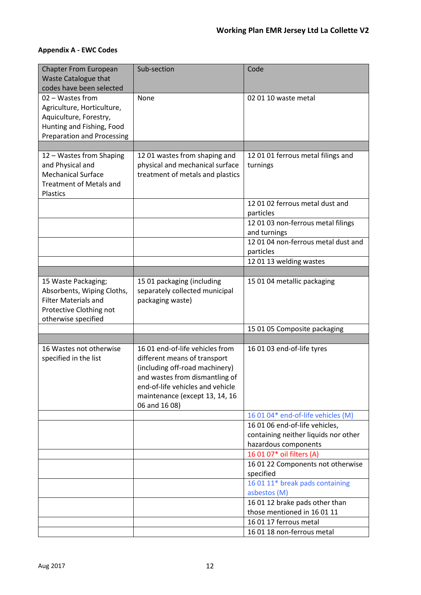## **Appendix A - EWC Codes**

| <b>Chapter From European</b><br>Waste Catalogue that<br>codes have been selected                                                           | Sub-section                                                                                                                                                                                                                | Code                                                                                           |
|--------------------------------------------------------------------------------------------------------------------------------------------|----------------------------------------------------------------------------------------------------------------------------------------------------------------------------------------------------------------------------|------------------------------------------------------------------------------------------------|
| 02 - Wastes from<br>Agriculture, Horticulture,<br>Aquiculture, Forestry,<br>Hunting and Fishing, Food<br><b>Preparation and Processing</b> | None                                                                                                                                                                                                                       | 02 01 10 waste metal                                                                           |
|                                                                                                                                            |                                                                                                                                                                                                                            |                                                                                                |
| 12 - Wastes from Shaping<br>and Physical and<br><b>Mechanical Surface</b><br><b>Treatment of Metals and</b><br>Plastics                    | 12 01 wastes from shaping and<br>physical and mechanical surface<br>treatment of metals and plastics                                                                                                                       | 12 01 01 ferrous metal filings and<br>turnings                                                 |
|                                                                                                                                            |                                                                                                                                                                                                                            | 12 01 02 ferrous metal dust and<br>particles                                                   |
|                                                                                                                                            |                                                                                                                                                                                                                            | 12 01 03 non-ferrous metal filings<br>and turnings                                             |
|                                                                                                                                            |                                                                                                                                                                                                                            | 12 01 04 non-ferrous metal dust and<br>particles                                               |
|                                                                                                                                            |                                                                                                                                                                                                                            | 12 01 13 welding wastes                                                                        |
|                                                                                                                                            |                                                                                                                                                                                                                            |                                                                                                |
| 15 Waste Packaging;<br>Absorbents, Wiping Cloths,<br><b>Filter Materials and</b><br>Protective Clothing not<br>otherwise specified         | 15 01 packaging (including<br>separately collected municipal<br>packaging waste)                                                                                                                                           | 15 01 04 metallic packaging                                                                    |
|                                                                                                                                            |                                                                                                                                                                                                                            | 15 01 05 Composite packaging                                                                   |
|                                                                                                                                            |                                                                                                                                                                                                                            |                                                                                                |
| 16 Wastes not otherwise<br>specified in the list                                                                                           | 16 01 end-of-life vehicles from<br>different means of transport<br>(including off-road machinery)<br>and wastes from dismantling of<br>end-of-life vehicles and vehicle<br>maintenance (except 13, 14, 16<br>06 and 16 08) | 16 01 03 end-of-life tyres                                                                     |
|                                                                                                                                            |                                                                                                                                                                                                                            | 16 01 04* end-of-life vehicles (M)                                                             |
|                                                                                                                                            |                                                                                                                                                                                                                            | 16 01 06 end-of-life vehicles,<br>containing neither liquids nor other<br>hazardous components |
|                                                                                                                                            |                                                                                                                                                                                                                            | 16 01 07* oil filters (A)                                                                      |
|                                                                                                                                            |                                                                                                                                                                                                                            | 16 01 22 Components not otherwise<br>specified                                                 |
|                                                                                                                                            |                                                                                                                                                                                                                            | 16 01 11* break pads containing<br>asbestos (M)                                                |
|                                                                                                                                            |                                                                                                                                                                                                                            | 16 01 12 brake pads other than<br>those mentioned in 16 01 11                                  |
|                                                                                                                                            |                                                                                                                                                                                                                            | 16 01 17 ferrous metal                                                                         |
|                                                                                                                                            |                                                                                                                                                                                                                            | 16 01 18 non-ferrous metal                                                                     |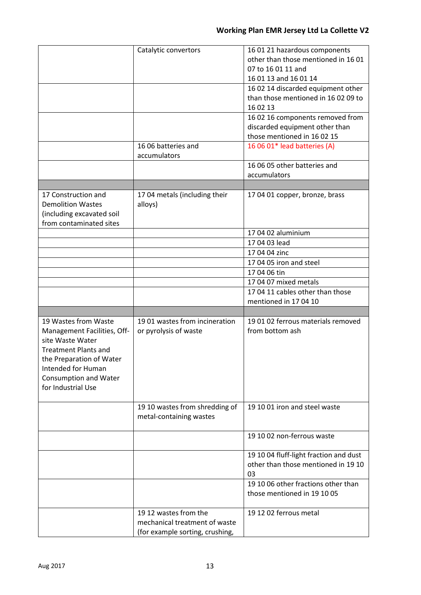|                                                                                                                                                                                        | Catalytic convertors                                                                      | 16 01 21 hazardous components<br>other than those mentioned in 1601<br>07 to 16 01 11 and<br>16 01 13 and 16 01 14<br>16 02 14 discarded equipment other<br>than those mentioned in 16 02 09 to<br>16 02 13<br>16 02 16 components removed from<br>discarded equipment other than<br>those mentioned in 16 02 15 |
|----------------------------------------------------------------------------------------------------------------------------------------------------------------------------------------|-------------------------------------------------------------------------------------------|------------------------------------------------------------------------------------------------------------------------------------------------------------------------------------------------------------------------------------------------------------------------------------------------------------------|
|                                                                                                                                                                                        | 16 06 batteries and<br>accumulators                                                       | 16 06 01* lead batteries (A)<br>16 06 05 other batteries and                                                                                                                                                                                                                                                     |
|                                                                                                                                                                                        |                                                                                           | accumulators                                                                                                                                                                                                                                                                                                     |
|                                                                                                                                                                                        |                                                                                           |                                                                                                                                                                                                                                                                                                                  |
| 17 Construction and<br><b>Demolition Wastes</b><br>(including excavated soil<br>from contaminated sites                                                                                | 17 04 metals (including their<br>alloys)                                                  | 17 04 01 copper, bronze, brass                                                                                                                                                                                                                                                                                   |
|                                                                                                                                                                                        |                                                                                           | 17 04 02 aluminium                                                                                                                                                                                                                                                                                               |
|                                                                                                                                                                                        |                                                                                           | 17 04 03 lead                                                                                                                                                                                                                                                                                                    |
|                                                                                                                                                                                        |                                                                                           | 17 04 04 zinc                                                                                                                                                                                                                                                                                                    |
|                                                                                                                                                                                        |                                                                                           | 17 04 05 iron and steel                                                                                                                                                                                                                                                                                          |
|                                                                                                                                                                                        |                                                                                           | 17 04 06 tin                                                                                                                                                                                                                                                                                                     |
|                                                                                                                                                                                        |                                                                                           | 17 04 07 mixed metals                                                                                                                                                                                                                                                                                            |
|                                                                                                                                                                                        |                                                                                           | 17 04 11 cables other than those                                                                                                                                                                                                                                                                                 |
|                                                                                                                                                                                        |                                                                                           | mentioned in 17 04 10                                                                                                                                                                                                                                                                                            |
| 19 Wastes from Waste                                                                                                                                                                   | 19 01 wastes from incineration                                                            | 19 01 02 ferrous materials removed                                                                                                                                                                                                                                                                               |
| Management Facilities, Off-<br>site Waste Water<br><b>Treatment Plants and</b><br>the Preparation of Water<br>Intended for Human<br><b>Consumption and Water</b><br>for Industrial Use | or pyrolysis of waste                                                                     | from bottom ash                                                                                                                                                                                                                                                                                                  |
|                                                                                                                                                                                        | 19 10 wastes from shredding of<br>metal-containing wastes                                 | 19 10 01 iron and steel waste                                                                                                                                                                                                                                                                                    |
|                                                                                                                                                                                        |                                                                                           | 19 10 02 non-ferrous waste                                                                                                                                                                                                                                                                                       |
|                                                                                                                                                                                        |                                                                                           | 19 10 04 fluff-light fraction and dust<br>other than those mentioned in 19 10<br>03                                                                                                                                                                                                                              |
|                                                                                                                                                                                        |                                                                                           | 19 10 06 other fractions other than<br>those mentioned in 19 10 05                                                                                                                                                                                                                                               |
|                                                                                                                                                                                        | 19 12 wastes from the<br>mechanical treatment of waste<br>(for example sorting, crushing, | 19 12 02 ferrous metal                                                                                                                                                                                                                                                                                           |